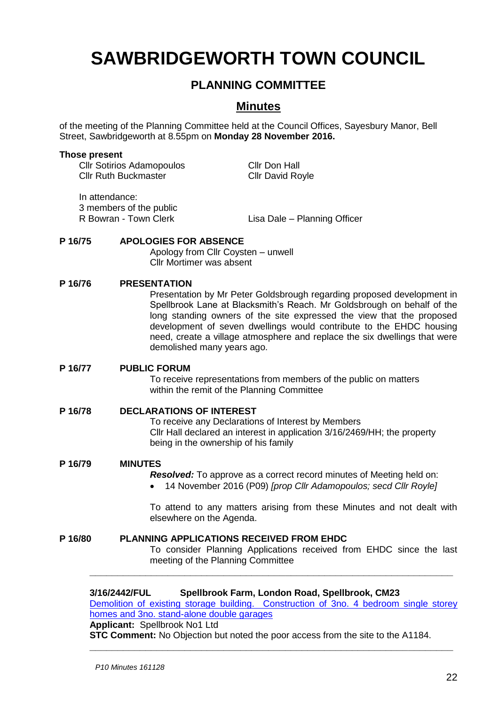# **SAWBRIDGEWORTH TOWN COUNCIL**

# **PLANNING COMMITTEE**

# **Minutes**

of the meeting of the Planning Committee held at the Council Offices, Sayesbury Manor, Bell Street, Sawbridgeworth at 8.55pm on **Monday 28 November 2016.**

#### **Those present**

Cllr Sotirios Adamopoulos Cllr Don Hall Cllr Ruth Buckmaster Cllr David Royle

In attendance: 3 members of the public<br>R Bowran - Town Clerk

Lisa Dale – Planning Officer

# **P 16/75 APOLOGIES FOR ABSENCE**

Apology from Cllr Coysten – unwell Cllr Mortimer was absent

# **P 16/76 PRESENTATION**

Presentation by Mr Peter Goldsbrough regarding proposed development in Spellbrook Lane at Blacksmith's Reach. Mr Goldsbrough on behalf of the long standing owners of the site expressed the view that the proposed development of seven dwellings would contribute to the EHDC housing need, create a village atmosphere and replace the six dwellings that were demolished many years ago.

# **P 16/77 PUBLIC FORUM**

To receive representations from members of the public on matters within the remit of the Planning Committee

# **P 16/78 DECLARATIONS OF INTEREST**

To receive any Declarations of Interest by Members Cllr Hall declared an interest in application 3/16/2469/HH; the property being in the ownership of his family

# **P 16/79 MINUTES**

*Resolved:* To approve as a correct record minutes of Meeting held on:

14 November 2016 (P09) *[prop Cllr Adamopoulos; secd Cllr Royle]*

To attend to any matters arising from these Minutes and not dealt with elsewhere on the Agenda.

# **P 16/80 PLANNING APPLICATIONS RECEIVED FROM EHDC**

To consider Planning Applications received from EHDC since the last meeting of the Planning Committee

#### **3/16/2442/FUL Spellbrook Farm, London Road, Spellbrook, CM23**

[Demolition of existing storage building. Construction of 3no. 4 bedroom single storey](https://publicaccess.eastherts.gov.uk/online-applications/applicationDetails.do?activeTab=summary&keyVal=OFZ0IYGLM0500)  [homes and 3no. stand-alone double garages](https://publicaccess.eastherts.gov.uk/online-applications/applicationDetails.do?activeTab=summary&keyVal=OFZ0IYGLM0500)

**\_\_\_\_\_\_\_\_\_\_\_\_\_\_\_\_\_\_\_\_\_\_\_\_\_\_\_\_\_\_\_\_\_\_\_\_\_\_\_\_\_\_\_\_\_\_\_\_\_\_\_\_\_\_\_\_\_\_\_\_\_\_\_\_\_**

**\_\_\_\_\_\_\_\_\_\_\_\_\_\_\_\_\_\_\_\_\_\_\_\_\_\_\_\_\_\_\_\_\_\_\_\_\_\_\_\_\_\_\_\_\_\_\_\_\_\_\_\_\_\_\_\_\_\_\_\_\_\_\_\_\_**

#### **Applicant:** Spellbrook No1 Ltd

**STC Comment:** No Objection but noted the poor access from the site to the A1184.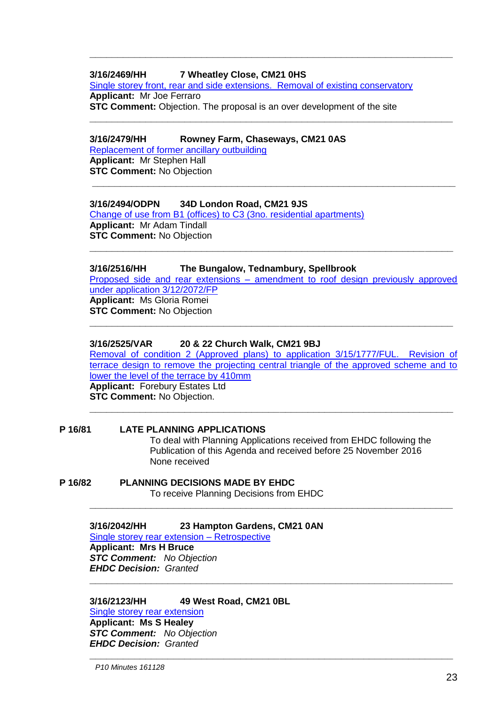# **3/16/2469/HH 7 Wheatley Close, CM21 0HS**

[Single storey front, rear and side extensions. Removal of existing conservatory](https://publicaccess.eastherts.gov.uk/online-applications/applicationDetails.do?activeTab=summary&keyVal=OG2NC5GL03N00) **Applicant:** Mr Joe Ferraro **STC Comment:** Objection. The proposal is an over development of the site

**\_\_\_\_\_\_\_\_\_\_\_\_\_\_\_\_\_\_\_\_\_\_\_\_\_\_\_\_\_\_\_\_\_\_\_\_\_\_\_\_\_\_\_\_\_\_\_\_\_\_\_\_\_\_\_\_\_\_\_\_\_\_\_\_\_**

**\_\_\_\_\_\_\_\_\_\_\_\_\_\_\_\_\_\_\_\_\_\_\_\_\_\_\_\_\_\_\_\_\_\_\_\_\_\_\_\_\_\_\_\_\_\_\_\_\_\_\_\_\_\_\_\_\_\_\_\_\_\_\_\_\_**

## **3/16/2479/HH Rowney Farm, Chaseways, CM21 0AS**

[Replacement of former ancillary outbuilding](https://publicaccess.eastherts.gov.uk/online-applications/applicationDetails.do?activeTab=summary&keyVal=OG4KJVGLM2U00) **Applicant:** Mr Stephen Hall **STC Comment:** No Objection

# **3/16/2494/ODPN 34D London Road, CM21 9JS**

[Change of use from B1 \(offices\) to C3 \(3no. residential apartments\)](https://publicaccess.eastherts.gov.uk/online-applications/applicationDetails.do?activeTab=summary&keyVal=OGBX42GL03N00) **Applicant:** Mr Adam Tindall **STC Comment:** No Objection

## **3/16/2516/HH The Bungalow, Tednambury, Spellbrook**

Proposed side and rear extensions – [amendment to roof design previously approved](https://publicaccess.eastherts.gov.uk/online-applications/applicationDetails.do?activeTab=summary&keyVal=OGF2ACGLM5900)  [under application 3/12/2072/FP](https://publicaccess.eastherts.gov.uk/online-applications/applicationDetails.do?activeTab=summary&keyVal=OGF2ACGLM5900) **Applicant:** Ms Gloria Romei **STC Comment:** No Objection

**\_\_\_\_\_\_\_\_\_\_\_\_\_\_\_\_\_\_\_\_\_\_\_\_\_\_\_\_\_\_\_\_\_\_\_\_\_\_\_\_\_\_\_\_\_\_\_\_\_\_\_\_\_\_\_\_\_\_\_\_\_\_\_\_\_**

**\_\_\_\_\_\_\_\_\_\_\_\_\_\_\_\_\_\_\_\_\_\_\_\_\_\_\_\_\_\_\_\_\_\_\_\_\_\_\_\_\_\_\_\_\_\_\_\_\_\_\_\_\_\_\_\_\_\_\_\_\_\_\_\_\_**

**\_\_\_\_\_\_\_\_\_\_\_\_\_\_\_\_\_\_\_\_\_\_\_\_\_\_\_\_\_\_\_\_\_\_\_\_\_\_\_\_\_\_\_\_\_\_\_\_\_\_\_\_\_\_\_\_\_\_\_\_\_\_\_\_\_**

## **3/16/2525/VAR 20 & 22 Church Walk, CM21 9BJ**

[Removal of condition 2 \(Approved plans\) to application 3/15/1777/FUL. Revision of](https://publicaccess.eastherts.gov.uk/online-applications/applicationDetails.do?activeTab=summary&keyVal=OGGWXHGLM5Q00)  [terrace design to remove the projecting central triangle of the approved scheme and to](https://publicaccess.eastherts.gov.uk/online-applications/applicationDetails.do?activeTab=summary&keyVal=OGGWXHGLM5Q00)  [lower the level of the terrace by 410mm](https://publicaccess.eastherts.gov.uk/online-applications/applicationDetails.do?activeTab=summary&keyVal=OGGWXHGLM5Q00) **Applicant:** Forebury Estates Ltd **STC Comment:** No Objection. **\_\_\_\_\_\_\_\_\_\_\_\_\_\_\_\_\_\_\_\_\_\_\_\_\_\_\_\_\_\_\_\_\_\_\_\_\_\_\_\_\_\_\_\_\_\_\_\_\_\_\_\_\_\_\_\_\_\_\_\_\_\_\_\_\_**

**\_\_\_\_\_\_\_\_\_\_\_\_\_\_\_\_\_\_\_\_\_\_\_\_\_\_\_\_\_\_\_\_\_\_\_\_\_\_\_\_\_\_\_\_\_\_\_\_\_\_\_\_\_\_\_\_\_\_\_\_\_\_\_\_\_**

**\_\_\_\_\_\_\_\_\_\_\_\_\_\_\_\_\_\_\_\_\_\_\_\_\_\_\_\_\_\_\_\_\_\_\_\_\_\_\_\_\_\_\_\_\_\_\_\_\_\_\_\_\_\_\_\_\_\_\_\_\_\_\_\_\_**

**\_\_\_\_\_\_\_\_\_\_\_\_\_\_\_\_\_\_\_\_\_\_\_\_\_\_\_\_\_\_\_\_\_\_\_\_\_\_\_\_\_\_\_\_\_\_\_\_\_\_\_\_\_\_\_\_\_\_\_\_\_\_\_\_\_**

#### **P 16/81 LATE PLANNING APPLICATIONS**

To deal with Planning Applications received from EHDC following the Publication of this Agenda and received before 25 November 2016 None received

**P 16/82 PLANNING DECISIONS MADE BY EHDC** To receive Planning Decisions from EHDC

**3/16/2042/HH 23 Hampton Gardens, CM21 0AN**

[Single storey rear extension –](https://publicaccess.eastherts.gov.uk/online-applications/applicationDetails.do?activeTab=summary&keyVal=OD4YL6GL00700) Retrospective **Applicant: Mrs H Bruce** *STC Comment: No Objection EHDC Decision: Granted*

**3/16/2123/HH 49 West Road, CM21 0BL**

[Single storey rear extension](https://publicaccess.eastherts.gov.uk/online-applications/applicationDetails.do?activeTab=summary&keyVal=ODQTPEGL00X00) **Applicant: Ms S Healey** *STC Comment: No Objection EHDC Decision: Granted*

*P10 Minutes 161128*